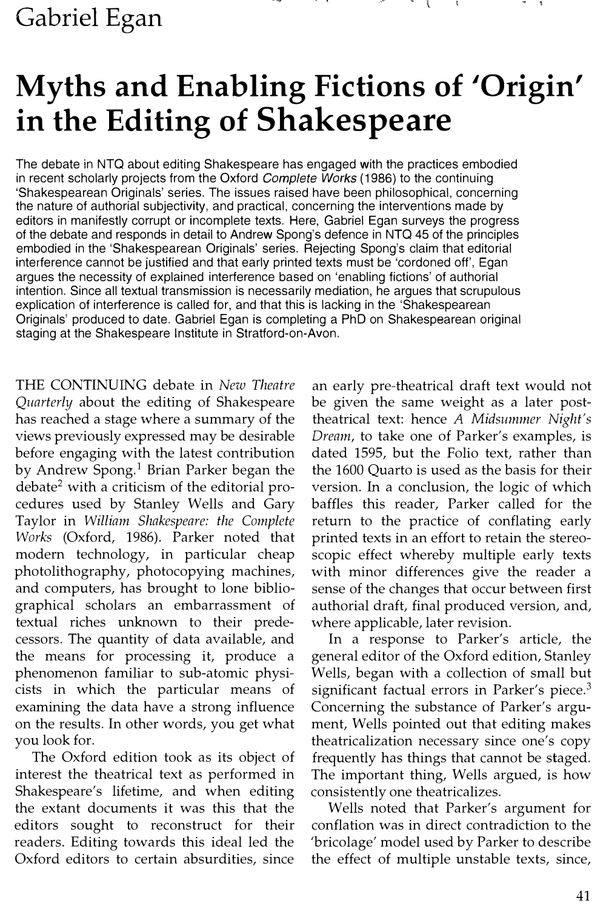## Myths and Enabling Fictions of 'Origin' in the Editing of Shakespeare

The debate in NTQ about editing Shakespeare has engaged with the practices embodied in recent scholarly projects from the Oxford Complete Works (1986) to the continuing 'Shakespearean Originals' series. The issues raised have been philosophical, concerning the nature of authorial subjectivity, and practical, concerning the interventions made by editors in manifestly corrupt or incomplete texts. Here, Gabriel Egan surveys the progress of the debate and responds in detail to Andrew Spong's defence in NTQ 45 of the principles embodied in the 'Shakespearean Originals' series. Rejecting Spong's claim that editorial interference cannot be justified and that early printed texts must be 'cordoned off', Egan argues the necessity of explained interference based on 'enabling fictions' of authorial intention. Since all textual transmission is necessarily mediation, he argues that scrupulous explication of interference is called for, and that this is lacking in the 'Shakespearean Originals' produced to date. Gabriel Egan is completing a PhD on Shakespearean original staging at the Shakespeare Institute in Stratford-on-Avon.

THE CONTINUING debate in New Theatre Quarterly about the editing of Shakespeare has reached a stage where a summary of the views previously expressed may be desirable before engaging with the latest contribution by Andrew Spong.<sup>1</sup> Brian Parker began the debate<sup>2</sup> with a criticism of the editorial procedures used by Stanley Wells and Gary Taylor in William Shakespeare: the Complete Works (Oxford, 1986). Parker noted that modern technology, in particular cheap photolithography, photocopying machines, and computers, has brought to lone bibliographical scholars an embarrassment of textual riches unknown to their predecessors. The quantity of data available, and the means for processing it, produce a phenomenon familiar to sub-atomic physicists in which the particular means of examining the data have a strong influence on the results. In other words, you get what you look for.

The Oxford edition took as its object of interest the theatrical text as performed in Shakespeare's lifetime, and when editing the extant documents it was this that the editors sought to reconstruct for their readers. Editing towards this ideal led the Oxford editors to certain absurdities, since

an early pre-theatrical draft text would not be given the same weight as a later posttheatrical text: hence A Midsummer Night's Dream, to take one of Parker's examples, is dated 1595, but the Folio text, rather than the 1600 Quarto is used as the basis for their version. In a conclusion, the logic of which baffles this reader, Parker called for the return to the practice of conflating early printed texts in an effort to retain the stereoscopic effect whereby multiple early texts with minor differences give the reader a sense of the changes that occur between first authorial draft, final produced version, and, where applicable, later revision.

In a response to Parker's article, the general editor of the Oxford edition, Stanley Wells, began with a collection of small but significant factual errors in Parker's piece.<sup>3</sup> Concerning the substance of Parker's argument, Wells pointed out that editing makes theatricalization necessary since one's copy frequently has things that cannot be staged. The important thing, Wells argued, is how consistently one theatricalizes.

Wells noted that Parker's argument for conflation was in direct contradiction to the 'bricolage' model used by Parker to describe the effect of multiple unstable texts, since,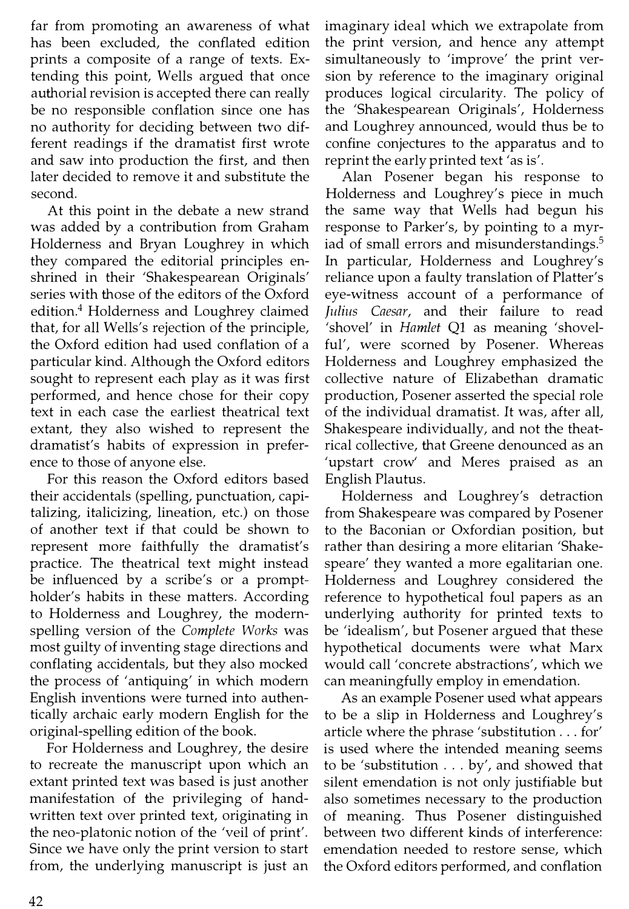far from promoting an awareness of what has been excluded, the conflated edition prints a composite of a range of texts. Extending this point, Wells argued that once authorial revision is accepted there can really be no responsible conflation since one has no authority for deciding between two different readings if the dramatist first wrote and saw into production the first, and then later decided to remove it and substitute the second.

At this point in the debate a new strand was added by a contribution from Graham Holderness and Bryan Loughrey in which they compared the editorial principles enshrined in their 'Shakespearean Originals' series with those of the editors of the Oxford edition.<sup>4</sup> Holderness and Loughrey claimed that, for all Wells's rejection of the principle, the Oxford edition had used conflation of a particular kind. Although the Oxford editors sought to represent each play as it was first performed, and hence chose for their copy text in each case the earliest theatrical text extant, they also wished to represent the dramatist's habits of expression in preference to those of anyone else.

For this reason the Oxford editors based their accidentals (spelling, punctuation, capitalizing, italicizing, lineation, etc.) on those of another text if that could be shown to represent more faithfully the dramatist's practice. The theatrical text might instead be influenced by a scribe's or a promptholder's habits in these matters. According to Holderness and Loughrey, the modernspelling version of the Complete Works was most guilty of inventing stage directions and conflating accidentals, but they also mocked the process of 'antiquing' in which modern English inventions were turned into authentically archaic early modern English for the original-spelling edition of the book.

For Holderness and Loughrey, the desire to recreate the manuscript upon which an extant printed text was based is just another manifestation of the privileging of handwritten text over printed text, originating in the neo-platonic notion of the 'veil of print'. Since we have only the print version to start from, the underlying manuscript is just an

imaginary ideal which we extrapolate from the print version, and hence any attempt simultaneously to 'improve' the print version by reference to the imaginary original produces logical circularity. The policy of the 'Shakespearean Originals', Holderness and Loughrey announced, would thus be to confine conjectures to the apparatus and to reprint the early printed text 'as is'.

Alan Posener began his response to Holderness and Loughrey's piece in much the same way that Wells had begun his response to Parker's, by pointing to a myriad of small errors and misunderstandings.<sup>5</sup> In particular, Holderness and Loughrey's reliance upon a faulty translation of Platter's eye-witness account of a performance of Julius Caesar, and their failure to read 'shovel' in Hamlet Ql as meaning 'shovelful', were scorned by Posener. Whereas Holderness and Loughrey emphasized the collective nature of Elizabethan dramatic production, Posener asserted the special role of the individual dramatist. It was, after all, Shakespeare individually, and not the theatrical collective, that Greene denounced as an 'upstart crow' and Meres praised as an English Plautus.

Holderness and Loughrey's detraction from Shakespeare was compared by Posener to the Baconian or Oxfordian position, but rather than desiring a more elitarian 'Shakespeare' they wanted a more egalitarian one. Holderness and Loughrey considered the reference to hypothetical foul papers as an underlying authority for printed texts to be 'idealism', but Posener argued that these hypothetical documents were what Marx would call 'concrete abstractions', which we can meaningfully employ in emendation.

As an example Posener used what appears to be a slip in Holderness and Loughrey's article where the phrase 'substitution . . . for' is used where the intended meaning seems to be 'substitution ... by', and showed that silent emendation is not only justifiable but also sometimes necessary to the production of meaning. Thus Posener distinguished between two different kinds of interference: emendation needed to restore sense, which the Oxford editors performed, and conflation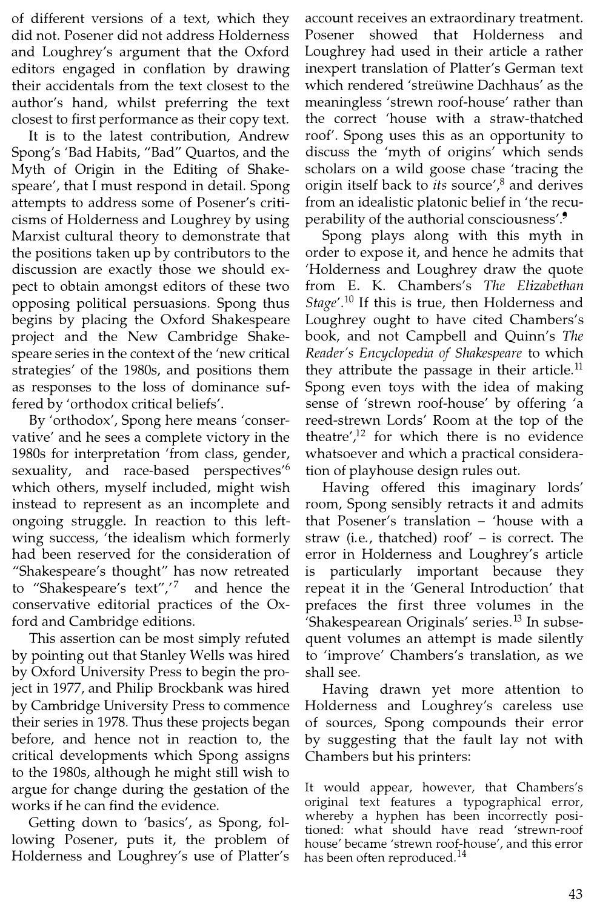of different versions of a text, which they did not. Posener did not address Holderness and Loughrey's argument that the Oxford editors engaged in conflation by drawing their accidentals from the text closest to the author's hand, whilst preferring the text closest to first performance as their copy text.

It is to the latest contribution, Andrew Spong's 'Bad Habits, "Bad" Quartos, and the Myth of Origin in the Editing of Shakespeare', that I must respond in detail. Spong attempts to address some of Posener's criticisms of Holderness and Loughrey by using Marxist cultural theory to demonstrate that the positions taken up by contributors to the discussion are exactly those we should expect to obtain amongst editors of these two opposing political persuasions. Spong thus begins by placing the Oxford Shakespeare project and the New Cambridge Shakespeare series in the context of the 'new critical strategies' of the 1980s, and positions them as responses to the loss of dominance suffered by 'orthodox critical beliefs'.

By 'orthodox', Spong here means 'conservative' and he sees a complete victory in the 1980s for interpretation 'from class, gender, sexuality, and race-based perspectives<sup>'6</sup> which others, myself included, might wish instead to represent as an incomplete and ongoing struggle. In reaction to this leftwing success, 'the idealism which formerly had been reserved for the consideration of "Shakespeare's thought" has now retreated to "Shakespeare's text",'7 and hence the conservative editorial practices of the Oxford and Cambridge editions.

This assertion can be most simply refuted by pointing out that Stanley Wells was hired by Oxford University Press to begin the project in 1977, and Philip Brockbank was hired by Cambridge University Press to commence their series in 1978. Thus these projects began before, and hence not in reaction to, the critical developments which Spong assigns to the 1980s, although he might still wish to argue for change during the gestation of the works if he can find the evidence.

Getting down to 'basics', as Spong, following Posener, puts it, the problem of Holderness and Loughrey's use of Platter's account receives an extraordinary treatment. Posener showed that Holderness and Loughrey had used in their article a rather inexpert translation of Platter's German text which rendered 'streiiwine Dachhaus' as the meaningless 'strewn roof-house' rather than the correct 'house with a straw-thatched roof'. Spong uses this as an opportunity to discuss the 'myth of origins' which sends scholars on a wild goose chase 'tracing the origin itself back to *its* source', $\delta$  and derives from an idealistic platonic belief in 'the recuperability of the authorial consciousness'.<sup>9</sup>

Spong plays along with this myth in order to expose it, and hence he admits that 'Holderness and Loughrey draw the quote from E. K. Chambers's The Elizabethan *Stage'*.<sup>10</sup> If this is true, then Holderness and Loughrey ought to have cited Chambers's book, and not Campbell and Quinn's The Reader's Encyclopedia of Shakespeare to which they attribute the passage in their article.<sup>11</sup> Spong even toys with the idea of making sense of 'strewn roof-house' by offering 'a reed-strewn Lords' Room at the top of the theatre', $12$  for which there is no evidence whatsoever and which a practical consideration of playhouse design rules out.

Having offered this imaginary lords' room, Spong sensibly retracts it and admits that Posener's translation - 'house with a straw (i.e., thatched) roof' - is correct. The error in Holderness and Loughrey's article is particularly important because they repeat it in the 'General Introduction' that prefaces the first three volumes in the 'Shakespearean Originals' series.<sup>13</sup> In subsequent volumes an attempt is made silently to 'improve' Chambers's translation, as we shall see.

Having drawn yet more attention to Holderness and Loughrey's careless use of sources, Spong compounds their error by suggesting that the fault lay not with Chambers but his printers:

It would appear, however, that Chambers's original text features a typographical error, whereby a hyphen has been incorrectly positioned: what should have read 'strewn-roof house' became 'strewn roof-house', and this error has been often reproduced.<sup>14</sup>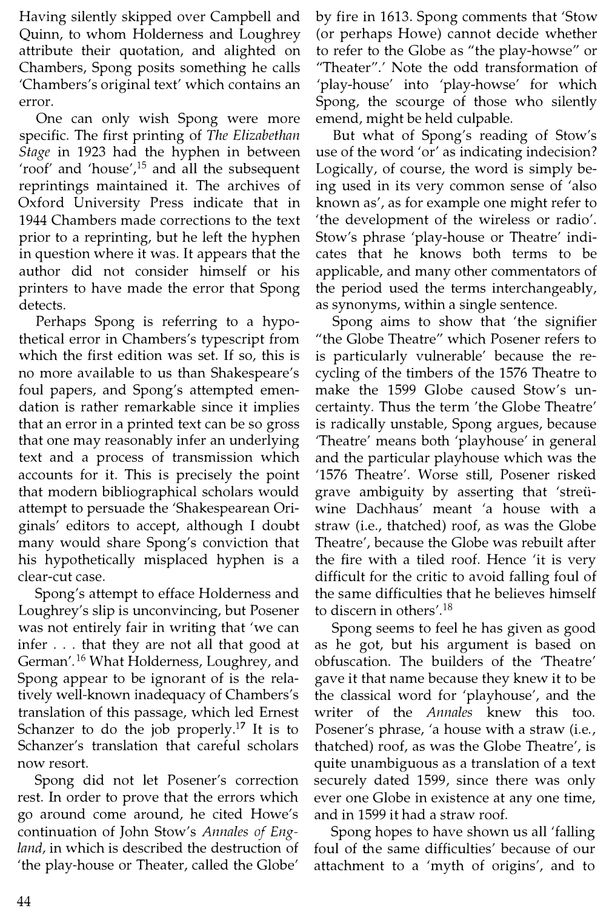Having silently skipped over Campbell and Quinn, to whom Holderness and Loughrey attribute their quotation, and alighted on Chambers, Spong posits something he calls 'Chambers's original text' which contains an error.

One can only wish Spong were more specific. The first printing of The Elizabethan Stage in 1923 had the hyphen in between 'roof' and 'house', $15$  and all the subsequent reprintings maintained it. The archives of Oxford University Press indicate that in 1944 Chambers made corrections to the text prior to a reprinting, but he left the hyphen in question where it was. It appears that the author did not consider himself or his printers to have made the error that Spong detects.

Perhaps Spong is referring to a hypothetical error in Chambers's typescript from which the first edition was set. If so, this is no more available to us than Shakespeare's foul papers, and Spong's attempted emendation is rather remarkable since it implies that an error in a printed text can be so gross that one may reasonably infer an underlying text and a process of transmission which accounts for it. This is precisely the point that modern bibliographical scholars would attempt to persuade the 'Shakespearean Originals' editors to accept, although I doubt many would share Spong's conviction that his hypothetically misplaced hyphen is a clear-cut case.

Spong's attempt to efface Holderness and Loughrey's slip is unconvincing, but Posener was not entirely fair in writing that 'we can infer ... that they are not all that good at German'.<sup>16</sup> What Holderness, Loughrey, and Spong appear to be ignorant of is the relatively well-known inadequacy of Chambers's translation of this passage, which led Ernest Schanzer to do the job properly.<sup>17</sup> It is to Schanzer's translation that careful scholars now resort.

Spong did not let Posener's correction rest. In order to prove that the errors which go around come around, he cited Howe's continuation of John Stow's Annales of England, in which is described the destruction of 'the play-house or Theater, called the Globe'

by fire in 1613. Spong comments that 'Stow (or perhaps Howe) cannot decide whether to refer to the Globe as "the play-howse" or "Theater".' Note the odd transformation of 'play-house' into 'play-howse' for which Spong, the scourge of those who silently emend, might be held culpable.

But what of Spong's reading of Stow's use of the word 'or' as indicating indecision? Logically, of course, the word is simply being used in its very common sense of 'also known as', as for example one might refer to 'the development of the wireless or radio'. Stow's phrase 'play-house or Theatre' indicates that he knows both terms to be applicable, and many other commentators of the period used the terms interchangeably, as synonyms, within a single sentence.

Spong aims to show that 'the signifier "the Globe Theatre" which Posener refers to is particularly vulnerable' because the recycling of the timbers of the 1576 Theatre to make the 1599 Globe caused Stow's uncertainty. Thus the term 'the Globe Theatre' is radically unstable, Spong argues, because 'Theatre' means both 'playhouse' in general and the particular playhouse which was the '1576 Theatre'. Worse still, Posener risked grave ambiguity by asserting that 'streiiwine Dachhaus' meant 'a house with a straw (i.e., thatched) roof, as was the Globe Theatre', because the Globe was rebuilt after the fire with a tiled roof. Hence 'it is very difficult for the critic to avoid falling foul of the same difficulties that he believes himself to discern in others'.<sup>18</sup>

Spong seems to feel he has given as good as he got, but his argument is based on obfuscation. The builders of the 'Theatre' gave it that name because they knew it to be the classical word for 'playhouse', and the writer of the Annales knew this too. Posener's phrase, 'a house with a straw (i.e., thatched) roof, as was the Globe Theatre', is quite unambiguous as a translation of a text securely dated 1599, since there was only ever one Globe in existence at any one time, and in 1599 it had a straw roof.

Spong hopes to have shown us all 'falling foul of the same difficulties' because of our attachment to a 'myth of origins', and to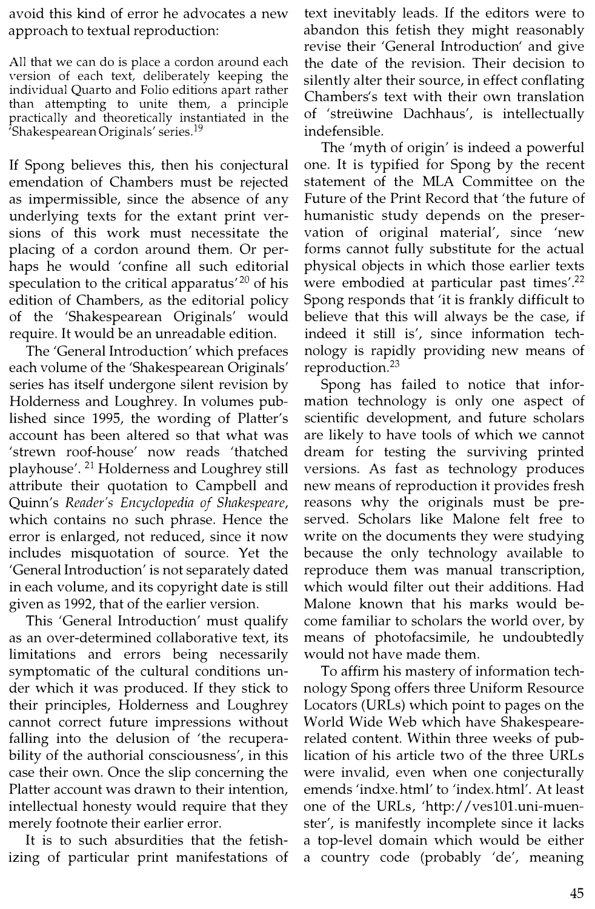avoid this kind of error he advocates a new approach to textual reproduction:

All that we can do is place a cordon around each version of each text, deliberately keeping the individual Quarto and Folio editions apart rather than attempting to unite them, a principle practically and theoretically instantiated in the 'Shakespearean Originals' series.19

If Spong believes this, then his conjectural emendation of Chambers must be rejected as impermissible, since the absence of any underlying texts for the extant print versions of this work must necessitate the placing of a cordon around them. Or perhaps he would 'confine all such editorial speculation to the critical apparatus<sup> $20$ </sup> of his edition of Chambers, as the editorial policy of the 'Shakespearean Originals' would require. It would be an unreadable edition.

The 'General Introduction' which prefaces each volume of the 'Shakespearean Originals' series has itself undergone silent revision by Holderness and Loughrey. In volumes published since 1995, the wording of Platter's account has been altered so that what was 'strewn roof-house' now reads 'thatched playhouse'. 21 Holderness and Loughrey still attribute their quotation to Campbell and Quinn's Reader's Encyclopedia of Shakespeare, which contains no such phrase. Hence the error is enlarged, not reduced, since it now includes misquotation of source. Yet the 'General Introduction' is not separately dated in each volume, and its copyright date is still given as 1992, that of the earlier version.

This 'General Introduction' must qualify as an over-determined collaborative text, its limitations and errors being necessarily symptomatic of the cultural conditions under which it was produced. If they stick to their principles, Holderness and Loughrey cannot correct future impressions without falling into the delusion of 'the recuperability of the authorial consciousness', in this case their own. Once the slip concerning the Platter account was drawn to their intention, intellectual honesty would require that they merely footnote their earlier error.

It is to such absurdities that the fetishizing of particular print manifestations of

text inevitably leads. If the editors were to abandon this fetish they might reasonably revise their 'General Introduction' and give the date of the revision. Their decision to silently alter their source, in effect conflating Chambers's text with their own translation of 'streiiwine Dachhaus', is intellectually indefensible.

The 'myth of origin' is indeed a powerful one. It is typified for Spong by the recent statement of the MLA Committee on the Future of the Print Record that 'the future of humanistic study depends on the preservation of original material', since 'new forms cannot fully substitute for the actual physical objects in which those earlier texts were embodied at particular past times'.22 Spong responds that 'it is frankly difficult to believe that this will always be the case, if indeed it still is', since information technology is rapidly providing new means of reproduction.<sup>23</sup>

Spong has failed to notice that information technology is only one aspect of scientific development, and future scholars are likely to have tools of which we cannot dream for testing the surviving printed versions. As fast as technology produces new means of reproduction it provides fresh reasons why the originals must be preserved. Scholars like Malone felt free to write on the documents they were studying because the only technology available to reproduce them was manual transcription, which would filter out their additions. Had Malone known that his marks would become familiar to scholars the world over, by means of photofacsimile, he undoubtedly would not have made them.

To affirm his mastery of information technology Spong offers three Uniform Resource Locators (URLs) which point to pages on the World Wide Web which have Shakespearerelated content. Within three weeks of publication of his article two of the three URLs were invalid, even when one conjecturally emends 'indxe.html' to 'index.html'. At least one of the URLs, 'http:/ /veslOl.uni-muenster', is manifestly incomplete since it lacks a top-level domain which would be either a country code (probably 'de', meaning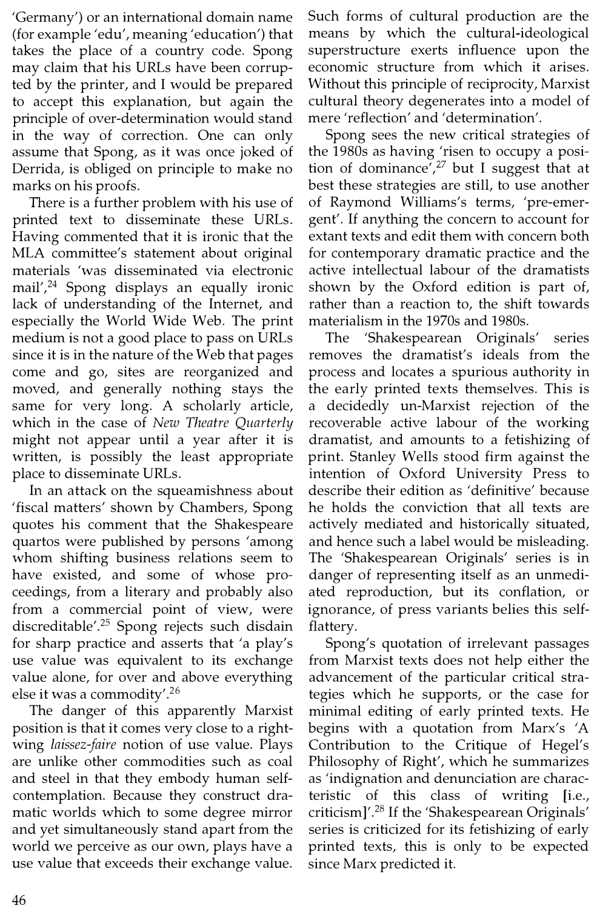'Germany') or an international domain name (for example 'edu', meaning 'education') that takes the place of a country code. Spong may claim that his URLs have been corrupted by the printer, and I would be prepared to accept this explanation, but again the principle of over-determination would stand in the way of correction. One can only assume that Spong, as it was once joked of Derrida, is obliged on principle to make no marks on his proofs.

There is a further problem with his use of printed text to disseminate these URLs. Having commented that it is ironic that the MLA committee's statement about original materials 'was disseminated via electronic mail', $24$  Spong displays an equally ironic lack of understanding of the Internet, and especially the World Wide Web. The print medium is not a good place to pass on URLs since it is in the nature of the Web that pages come and go, sites are reorganized and moved, and generally nothing stays the same for very long. A scholarly article, which in the case of New Theatre Quarterly might not appear until a year after it is written, is possibly the least appropriate place to disseminate URLs.

In an attack on the squeamishness about 'fiscal matters' shown by Chambers, Spong quotes his comment that the Shakespeare quartos were published by persons 'among whom shifting business relations seem to have existed, and some of whose proceedings, from a literary and probably also from a commercial point of view, were discreditable'.25 Spong rejects such disdain for sharp practice and asserts that 'a play's use value was equivalent to its exchange value alone, for over and above everything else it was a commodity'.26

The danger of this apparently Marxist position is that it comes very close to a rightwing laissez-faire notion of use value. Plays are unlike other commodities such as coal and steel in that they embody human selfcontemplation. Because they construct dramatic worlds which to some degree mirror and yet simultaneously stand apart from the world we perceive as our own, plays have a use value that exceeds their exchange value. Such forms of cultural production are the means by which the cultural-ideological superstructure exerts influence upon the economic structure from which it arises. Without this principle of reciprocity, Marxist cultural theory degenerates into a model of mere 'reflection' and 'determination'.

Spong sees the new critical strategies of the 1980s as having 'risen to occupy a position of dominance',<sup>27</sup> but I suggest that at best these strategies are still, to use another of Raymond Williams's terms, 'pre-emergent'. If anything the concern to account for extant texts and edit them with concern both for contemporary dramatic practice and the active intellectual labour of the dramatists shown by the Oxford edition is part of, rather than a reaction to, the shift towards materialism in the 1970s and 1980s.

The 'Shakespearean Originals' series removes the dramatist's ideals from the process and locates a spurious authority in the early printed texts themselves. This is a decidedly un-Marxist rejection of the recoverable active labour of the working dramatist, and amounts to a fetishizing of print. Stanley Wells stood firm against the intention of Oxford University Press to describe their edition as 'definitive' because he holds the conviction that all texts are actively mediated and historically situated, and hence such a label would be misleading. The 'Shakespearean Originals' series is in danger of representing itself as an unmediated reproduction, but its conflation, or ignorance, of press variants belies this selfflattery.

Spong's quotation of irrelevant passages from Marxist texts does not help either the advancement of the particular critical strategies which he supports, or the case for minimal editing of early printed texts. He begins with a quotation from Marx's 'A Contribution to the Critique of Hegel's Philosophy of Right', which he summarizes as 'indignation and denunciation are characteristic of this class of writing [i.e., criticism]'.28 If the 'Shakespearean Originals' series is criticized for its fetishizing of early printed texts, this is only to be expected since Marx predicted it.